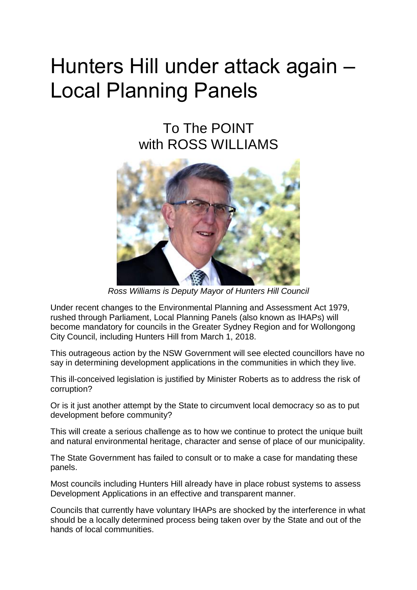## Hunters Hill under attack again – Local Planning Panels

## To The POINT with ROSS WILLIAMS



*Ross Williams is Deputy Mayor of Hunters Hill Council*

Under recent changes to the Environmental Planning and Assessment Act 1979, rushed through Parliament, Local Planning Panels (also known as IHAPs) will become mandatory for councils in the Greater Sydney Region and for Wollongong City Council, including Hunters Hill from March 1, 2018.

This outrageous action by the NSW Government will see elected councillors have no say in determining development applications in the communities in which they live.

This ill-conceived legislation is justified by Minister Roberts as to address the risk of corruption?

Or is it just another attempt by the State to circumvent local democracy so as to put development before community?

This will create a serious challenge as to how we continue to protect the unique built and natural environmental heritage, character and sense of place of our municipality.

The State Government has failed to consult or to make a case for mandating these panels.

Most councils including Hunters Hill already have in place robust systems to assess Development Applications in an effective and transparent manner.

Councils that currently have voluntary IHAPs are shocked by the interference in what should be a locally determined process being taken over by the State and out of the hands of local communities.